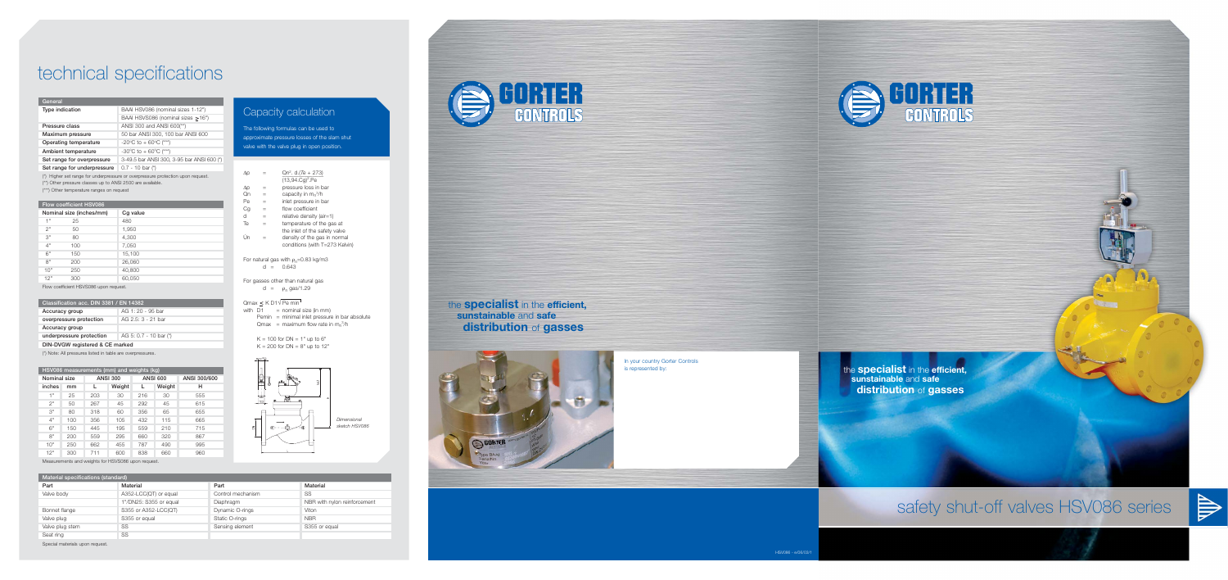| HSV086 measurements (mm) and weights (kg) |     |                 |        |                 |        |              |  |
|-------------------------------------------|-----|-----------------|--------|-----------------|--------|--------------|--|
| Nominal size                              |     | <b>ANSI 300</b> |        | <b>ANSI 600</b> |        | ANSI 300/600 |  |
| inches                                    | mm  |                 | Weight |                 | Weight | н            |  |
| 1"                                        | 25  | 203             | 30     | 216             | 30     | 555          |  |
| 2"                                        | 50  | 267             | 45     | 292             | 45     | 615          |  |
| 3"                                        | 80  | 318             | 60     | 356             | 65     | 655          |  |
| 4"                                        | 100 | 356             | 105    | 432             | 115    | 665          |  |
| 6"                                        | 150 | 445             | 195    | 559             | 210    | 715          |  |
| 8"                                        | 200 | 559             | 295    | 660             | 320    | 867          |  |
| 10"                                       | 250 | 662             | 455    | 787             | 490    | 995          |  |
| 12"                                       | 300 | 711             | 600    | 838             | 660    | 960          |  |

**Material specifications (standard) Part Material** Valve body **A352-LCC(QT)** or equal 1"/DN25: S355 or equal Bonnet flange S355 or A352-LCC(QT) Valve plug S355 or equal Valve plug stem SS Seat ring SS **Part Material** Control mechanism SS Diaphragm NBR with nylon reinforcement Dynamic O-rings Viton Static O-rings NBR Sensing element S355 or equal

Measurements and weights for HSVS086 upon request.

Special materials upon request.

For gasses other than natural gas d =  $\rho_n$  gas/1.29

### $Qmax \leq K$  D1 $\sqrt{Pe min}$

with  $D1$  = nominal size (in mm)  $Pemin = minimal inlet pressure in bar absolute$ 

Qmax = maximum flow rate in  $m_n^3/h$ 

 $K = 100$  for  $DN = 1"$  up to  $6"$  $K = 200$  for DN =  $8"$  up to 12"

### **Classification acc. DIN 3381 / EN 14382**

| Accuracy group           | AG 1: 20 - 95 bar      |
|--------------------------|------------------------|
| overpressure protection  | AG 2.5: 3 - 21 bar     |
| Accuracy group           |                        |
| underpressure protection | AG 5: 0.7 - 10 bar (*) |
|                          |                        |

**DIN-DVGW registered & CE marked**

(\*) Note: All pressures listed in table are overpressures.

# technical specifications

| $\Delta p$                                 |     | $Qn^2$ . d. (Te + 273)<br>$(13,94.Cq)^2.Pe$ |  |  |
|--------------------------------------------|-----|---------------------------------------------|--|--|
| Δp                                         |     | pressure loss in bar                        |  |  |
| On                                         | $=$ | capacity in $m_n^3/h$                       |  |  |
| Pe                                         | $=$ | inlet pressure in bar                       |  |  |
| Cg                                         | $=$ | flow coefficient                            |  |  |
| d                                          | $=$ | relative density (air=1)                    |  |  |
| Te                                         | $=$ | temperature of the gas at                   |  |  |
|                                            |     | the inlet of the safety valve               |  |  |
| Ún                                         |     | density of the gas in normal                |  |  |
|                                            |     | conditions (with T=273 Kelvin)              |  |  |
| For natural gas with $\rho_n = 0.83$ kg/m3 |     |                                             |  |  |
|                                            |     | 0.643                                       |  |  |

The following formulas can be used to approximate pressure losses of the slam shut valve with the valve plug in open position.

## Capacity calculation





the **specialist** in the **efficient, sunstainable** and **safe distribution** of **gasses**

safety shut-off valves HSV086 series

## the **specialist** in the **efficient, sunstainable** and **safe distribution** of **gasses**







In your country Gorter Controls is represented by:

#### **General**

| Type indication             | BAAI HSV086 (nominal sizes 1-12")          |
|-----------------------------|--------------------------------------------|
|                             | BAAI HSVS086 (nominal sizes >16")          |
| Pressure class              | ANSI 300 and ANSI 600(**)                  |
| Maximum pressure            | 50 bar ANSI 300, 100 bar ANSI 600          |
| Operating temperature       | $-20^{\circ}$ C to + 60 $^{\circ}$ C (***) |
| Ambient temperature         | -30°C to + 60°C (***)                      |
| Set range for overpressure  | 3-49.5 bar ANSI 300, 3-95 bar ANSI 600 (*) |
| Set range for underpressure | $0.7 - 10$ bar $(*)$                       |

(\*) Higher set range for underpressure or overpressure protection upon request.

(\*\*) Other pressure classes up to ANSI 2500 are available.

(\*\*\*) Other temperature ranges on request

### **Flow coefficient HSV086**

| Nominal size (inches/mm) |     | Cg value |  |  |
|--------------------------|-----|----------|--|--|
| 1"                       | 25  | 480      |  |  |
| 2"                       | 50  | 1,950    |  |  |
| 3"                       | 80  | 4,300    |  |  |
| 4"                       | 100 | 7,050    |  |  |
| 6"                       | 150 | 15,100   |  |  |
| 8"                       | 200 | 26,060   |  |  |
| 10"                      | 250 | 40,800   |  |  |
| 12"                      | 300 | 60,050   |  |  |

Flow coefficient HSVS086 upon request.